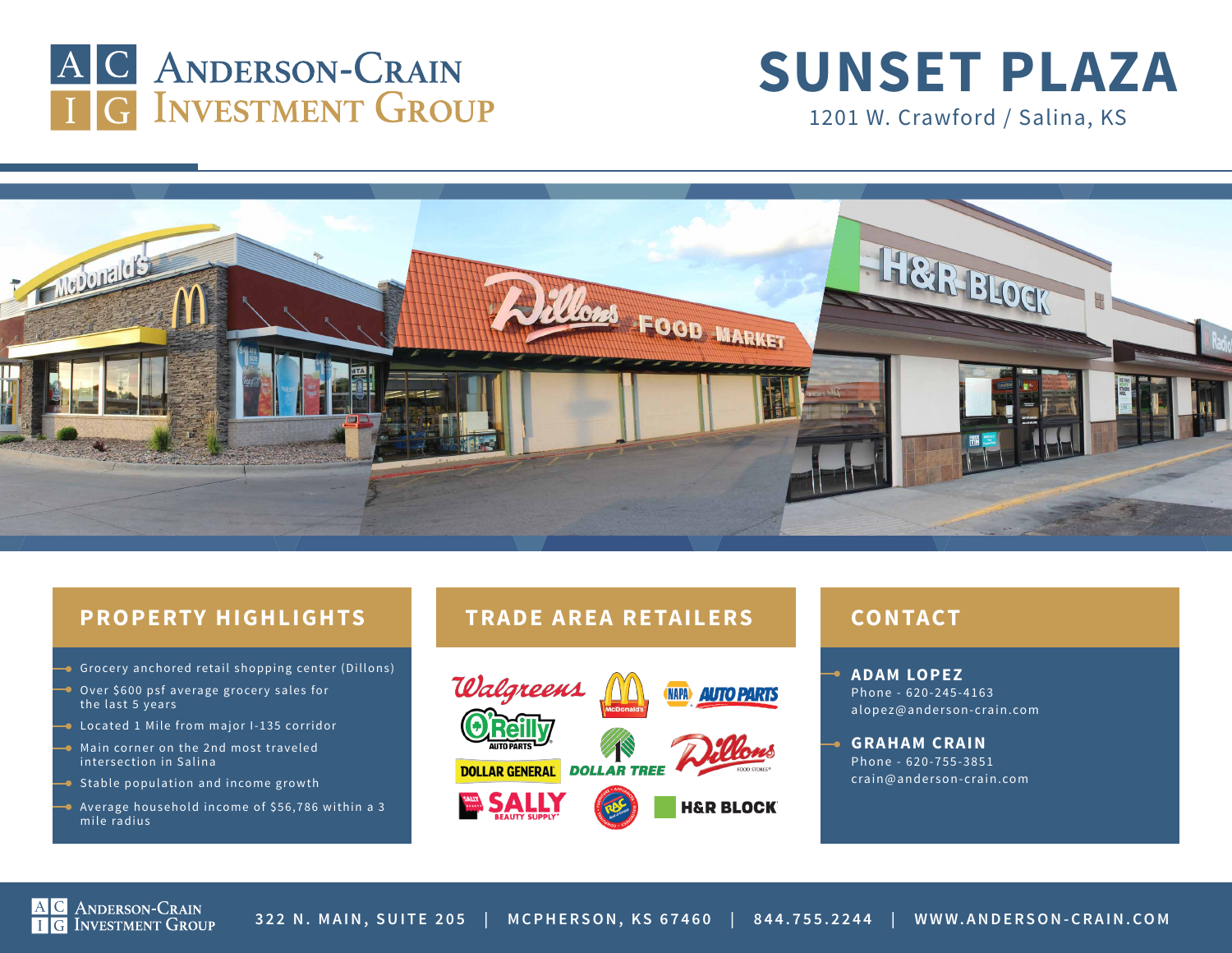



Neboralds Allones FOOD MARKET

### **PROPERTY HIGHLIGHTS TRADE AREA RETAILERS CONTACT**

- **Grocery anchored retail shopping center (Dillons)**
- Over \$600 psf average grocery sales for the last 5 years
- **Located 1 Mile from major I-135 corridor**
- $\rightarrow$  Main corner on the 2nd most traveled intersection in Salina
- $\rightarrow$  Stable population and income growth
- $\rightarrow$  Average household income of \$56,786 within a 3 mile radius



- **ADAM LOPEZ** Phone - 620-245-4163 alopez@anderson-crain.com
- **GRAHAM CRAIN** Phone - 620-755-3851 crain@anderson-crain.com

**A C** ANDERSON-CRAIN<br>**I** G INVESTMENT GROUP **322 N. MAIN, SUITE 205 | MCPHERSON, KS 67460 | 844.755.2244 | WWW.ANDERSON-CRAIN.COM**